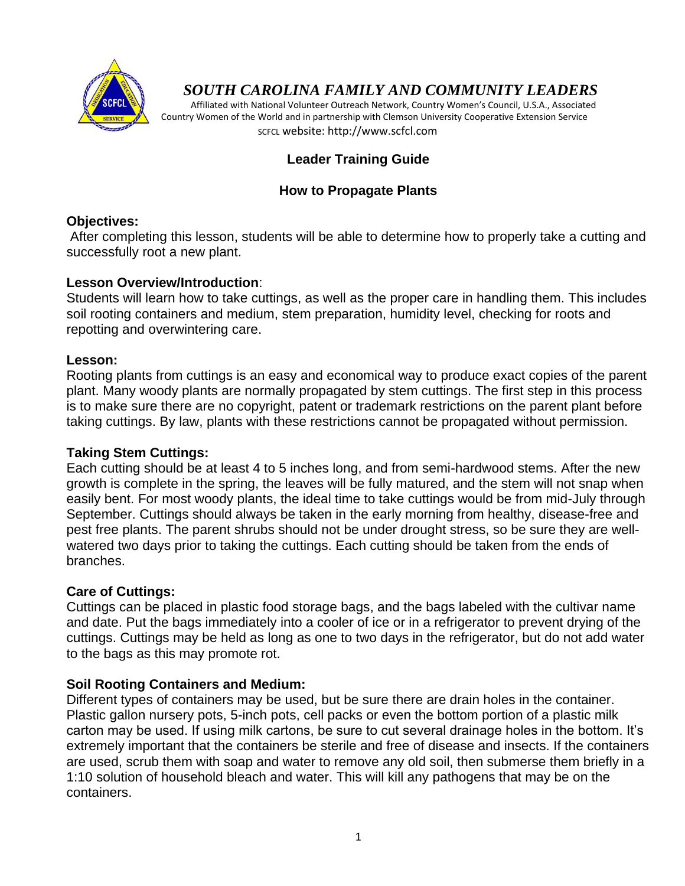

# *SOUTH CAROLINA FAMILY AND COMMUNITY LEADERS*

 Affiliated with National Volunteer Outreach Network, Country Women's Council, U.S.A., Associated Country Women of the World and in partnership with Clemson University Cooperative Extension Service SCFCL website: http://www.scfcl.com

# **Leader Training Guide**

# **How to Propagate Plants**

### **Objectives:**

After completing this lesson, students will be able to determine how to properly take a cutting and successfully root a new plant.

### **Lesson Overview/Introduction**:

Students will learn how to take cuttings, as well as the proper care in handling them. This includes soil rooting containers and medium, stem preparation, humidity level, checking for roots and repotting and overwintering care.

### **Lesson:**

Rooting plants from cuttings is an easy and economical way to produce exact copies of the parent plant. Many woody plants are normally propagated by stem cuttings. The first step in this process is to make sure there are no copyright, patent or trademark restrictions on the parent plant before taking cuttings. By law, plants with these restrictions cannot be propagated without permission.

### **Taking Stem Cuttings:**

Each cutting should be at least 4 to 5 inches long, and from semi-hardwood stems. After the new growth is complete in the spring, the leaves will be fully matured, and the stem will not snap when easily bent. For most woody plants, the ideal time to take cuttings would be from mid-July through September. Cuttings should always be taken in the early morning from healthy, disease-free and pest free plants. The parent shrubs should not be under drought stress, so be sure they are wellwatered two days prior to taking the cuttings. Each cutting should be taken from the ends of branches.

### **Care of Cuttings:**

Cuttings can be placed in plastic food storage bags, and the bags labeled with the cultivar name and date. Put the bags immediately into a cooler of ice or in a refrigerator to prevent drying of the cuttings. Cuttings may be held as long as one to two days in the refrigerator, but do not add water to the bags as this may promote rot.

### **Soil Rooting Containers and Medium:**

Different types of containers may be used, but be sure there are drain holes in the container. Plastic gallon nursery pots, 5-inch pots, cell packs or even the bottom portion of a plastic milk carton may be used. If using milk cartons, be sure to cut several drainage holes in the bottom. It's extremely important that the containers be sterile and free of disease and insects. If the containers are used, scrub them with soap and water to remove any old soil, then submerse them briefly in a 1:10 solution of household bleach and water. This will kill any pathogens that may be on the containers.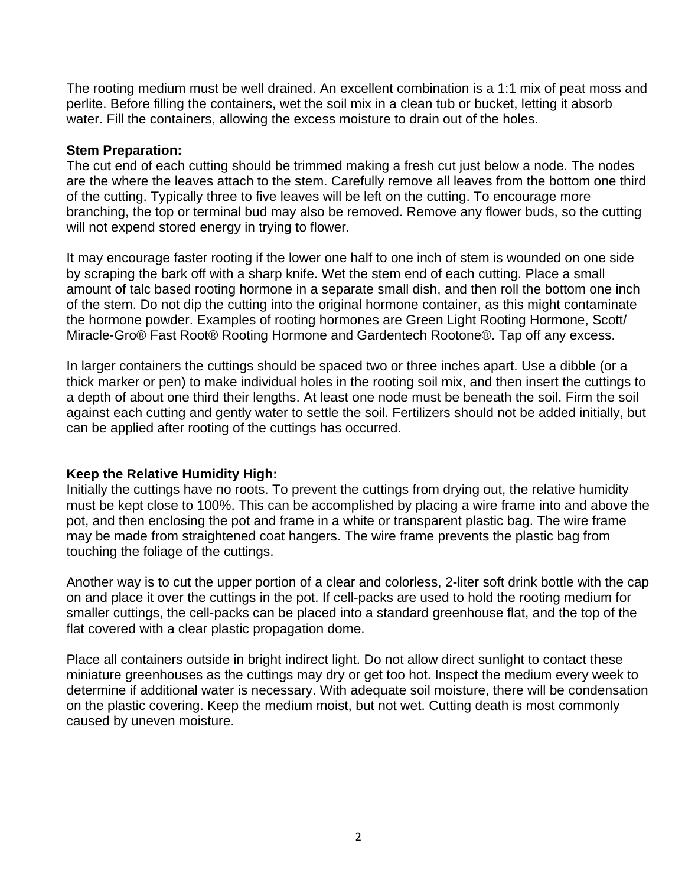The rooting medium must be well drained. An excellent combination is a 1:1 mix of peat moss and perlite. Before filling the containers, wet the soil mix in a clean tub or bucket, letting it absorb water. Fill the containers, allowing the excess moisture to drain out of the holes.

#### **Stem Preparation:**

The cut end of each cutting should be trimmed making a fresh cut just below a node. The nodes are the where the leaves attach to the stem. Carefully remove all leaves from the bottom one third of the cutting. Typically three to five leaves will be left on the cutting. To encourage more branching, the top or terminal bud may also be removed. Remove any flower buds, so the cutting will not expend stored energy in trying to flower.

It may encourage faster rooting if the lower one half to one inch of stem is wounded on one side by scraping the bark off with a sharp knife. Wet the stem end of each cutting. Place a small amount of talc based rooting hormone in a separate small dish, and then roll the bottom one inch of the stem. Do not dip the cutting into the original hormone container, as this might contaminate the hormone powder. Examples of rooting hormones are Green Light Rooting Hormone, Scott/ Miracle-Gro® Fast Root® Rooting Hormone and Gardentech Rootone®. Tap off any excess.

In larger containers the cuttings should be spaced two or three inches apart. Use a dibble (or a thick marker or pen) to make individual holes in the rooting soil mix, and then insert the cuttings to a depth of about one third their lengths. At least one node must be beneath the soil. Firm the soil against each cutting and gently water to settle the soil. Fertilizers should not be added initially, but can be applied after rooting of the cuttings has occurred.

### **Keep the Relative Humidity High:**

Initially the cuttings have no roots. To prevent the cuttings from drying out, the relative humidity must be kept close to 100%. This can be accomplished by placing a wire frame into and above the pot, and then enclosing the pot and frame in a white or transparent plastic bag. The wire frame may be made from straightened coat hangers. The wire frame prevents the plastic bag from touching the foliage of the cuttings.

Another way is to cut the upper portion of a clear and colorless, 2-liter soft drink bottle with the cap on and place it over the cuttings in the pot. If cell-packs are used to hold the rooting medium for smaller cuttings, the cell-packs can be placed into a standard greenhouse flat, and the top of the flat covered with a clear plastic propagation dome.

Place all containers outside in bright indirect light. Do not allow direct sunlight to contact these miniature greenhouses as the cuttings may dry or get too hot. Inspect the medium every week to determine if additional water is necessary. With adequate soil moisture, there will be condensation on the plastic covering. Keep the medium moist, but not wet. Cutting death is most commonly caused by uneven moisture.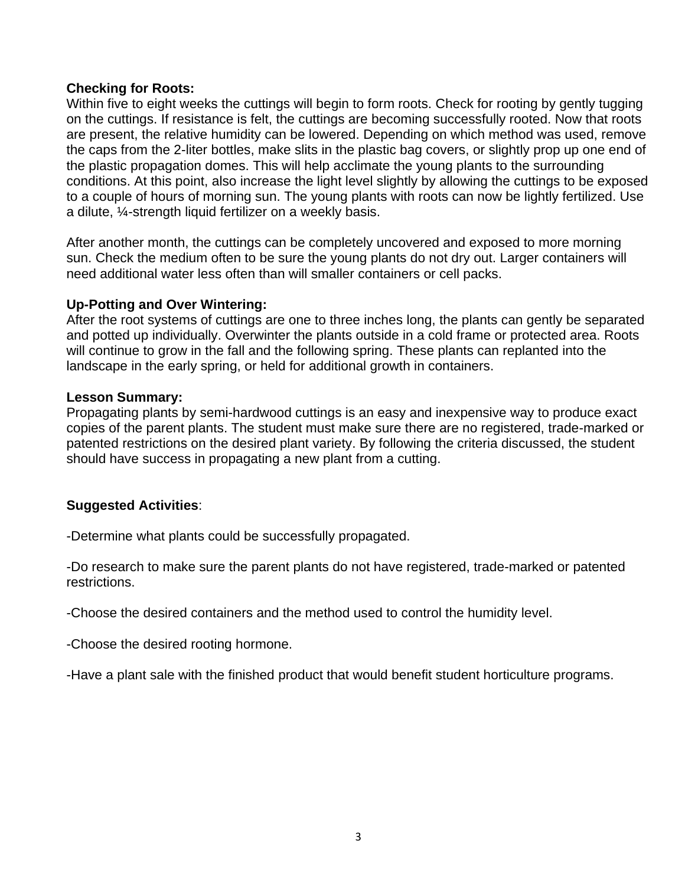### **Checking for Roots:**

Within five to eight weeks the cuttings will begin to form roots. Check for rooting by gently tugging on the cuttings. If resistance is felt, the cuttings are becoming successfully rooted. Now that roots are present, the relative humidity can be lowered. Depending on which method was used, remove the caps from the 2-liter bottles, make slits in the plastic bag covers, or slightly prop up one end of the plastic propagation domes. This will help acclimate the young plants to the surrounding conditions. At this point, also increase the light level slightly by allowing the cuttings to be exposed to a couple of hours of morning sun. The young plants with roots can now be lightly fertilized. Use a dilute, ¼-strength liquid fertilizer on a weekly basis.

After another month, the cuttings can be completely uncovered and exposed to more morning sun. Check the medium often to be sure the young plants do not dry out. Larger containers will need additional water less often than will smaller containers or cell packs.

#### **Up-Potting and Over Wintering:**

After the root systems of cuttings are one to three inches long, the plants can gently be separated and potted up individually. Overwinter the plants outside in a cold frame or protected area. Roots will continue to grow in the fall and the following spring. These plants can replanted into the landscape in the early spring, or held for additional growth in containers.

#### **Lesson Summary:**

Propagating plants by semi-hardwood cuttings is an easy and inexpensive way to produce exact copies of the parent plants. The student must make sure there are no registered, trade-marked or patented restrictions on the desired plant variety. By following the criteria discussed, the student should have success in propagating a new plant from a cutting.

### **Suggested Activities**:

-Determine what plants could be successfully propagated.

-Do research to make sure the parent plants do not have registered, trade-marked or patented restrictions.

-Choose the desired containers and the method used to control the humidity level.

-Choose the desired rooting hormone.

-Have a plant sale with the finished product that would benefit student horticulture programs.